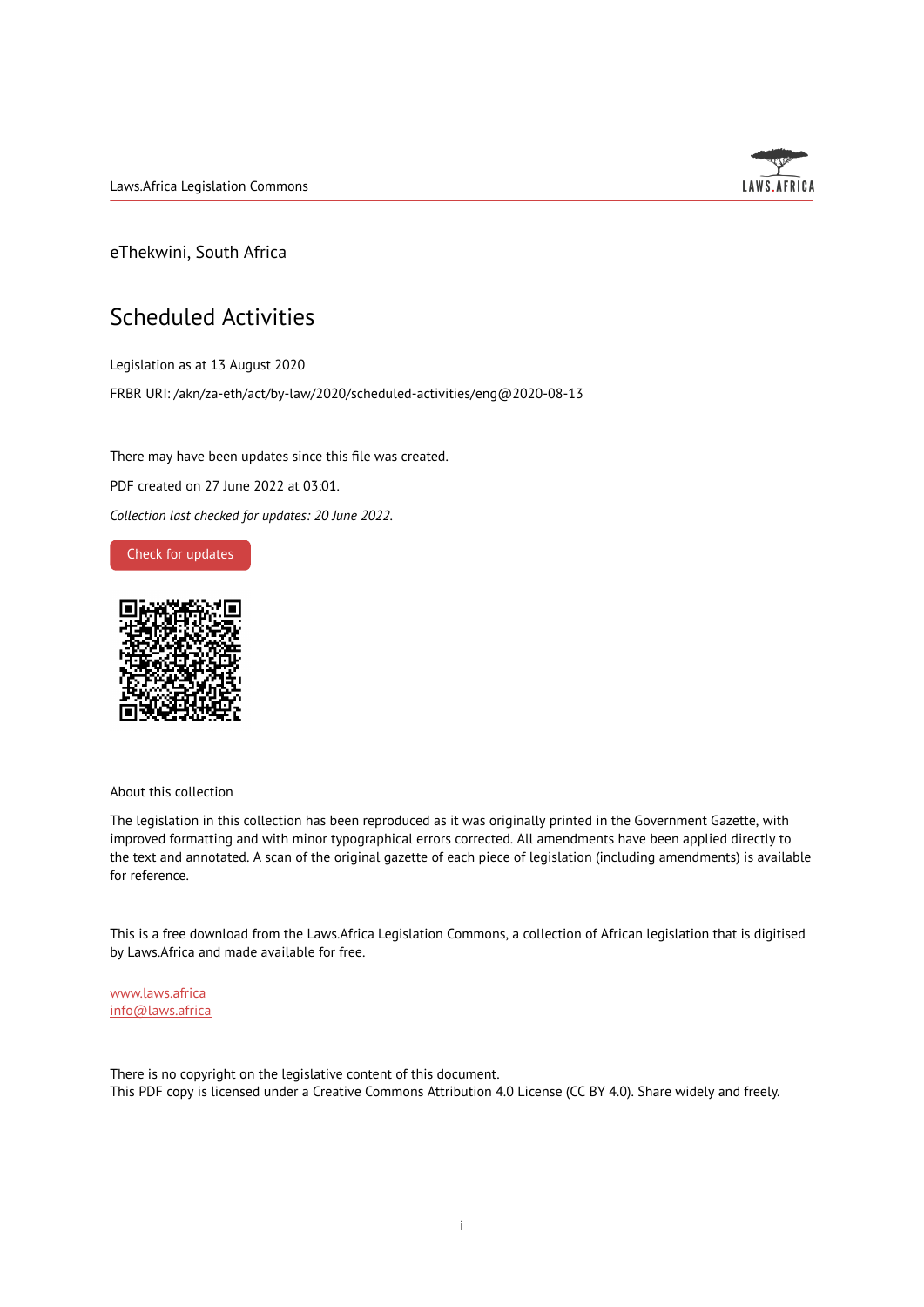Laws.Africa Legislation Commons



eThekwini, South Africa

## Scheduled Activities

Legislation as at 13 August 2020 FRBR URI: /akn/za-eth/act/by-law/2020/scheduled-activities/eng@2020-08-13

There may have been updates since this file was created. PDF created on 27 June 2022 at 03:01. *Collection last checked for updates: 20 June 2022*.

Check for [updates](https://commons.laws.africa/akn/za-eth/act/by-law/2020/scheduled-activities/eng@2020-08-13?ts=2022-06-27T03:01:00.772804+00:00)



About this collection

The legislation in this collection has been reproduced as it was originally printed in the Government Gazette, with improved formatting and with minor typographical errors corrected. All amendments have been applied directly to the text and annotated. A scan of the original gazette of each piece of legislation (including amendments) is available for reference.

This is a free download from the Laws.Africa Legislation Commons, a collection of African legislation that is digitised by Laws.Africa and made available for free.

[www.laws.africa](https://www.laws.africa) [info@laws.africa](mailto:info@laws.africa)

There is no copyright on the legislative content of this document. This PDF copy is licensed under a Creative Commons Attribution 4.0 License (CC BY 4.0). Share widely and freely.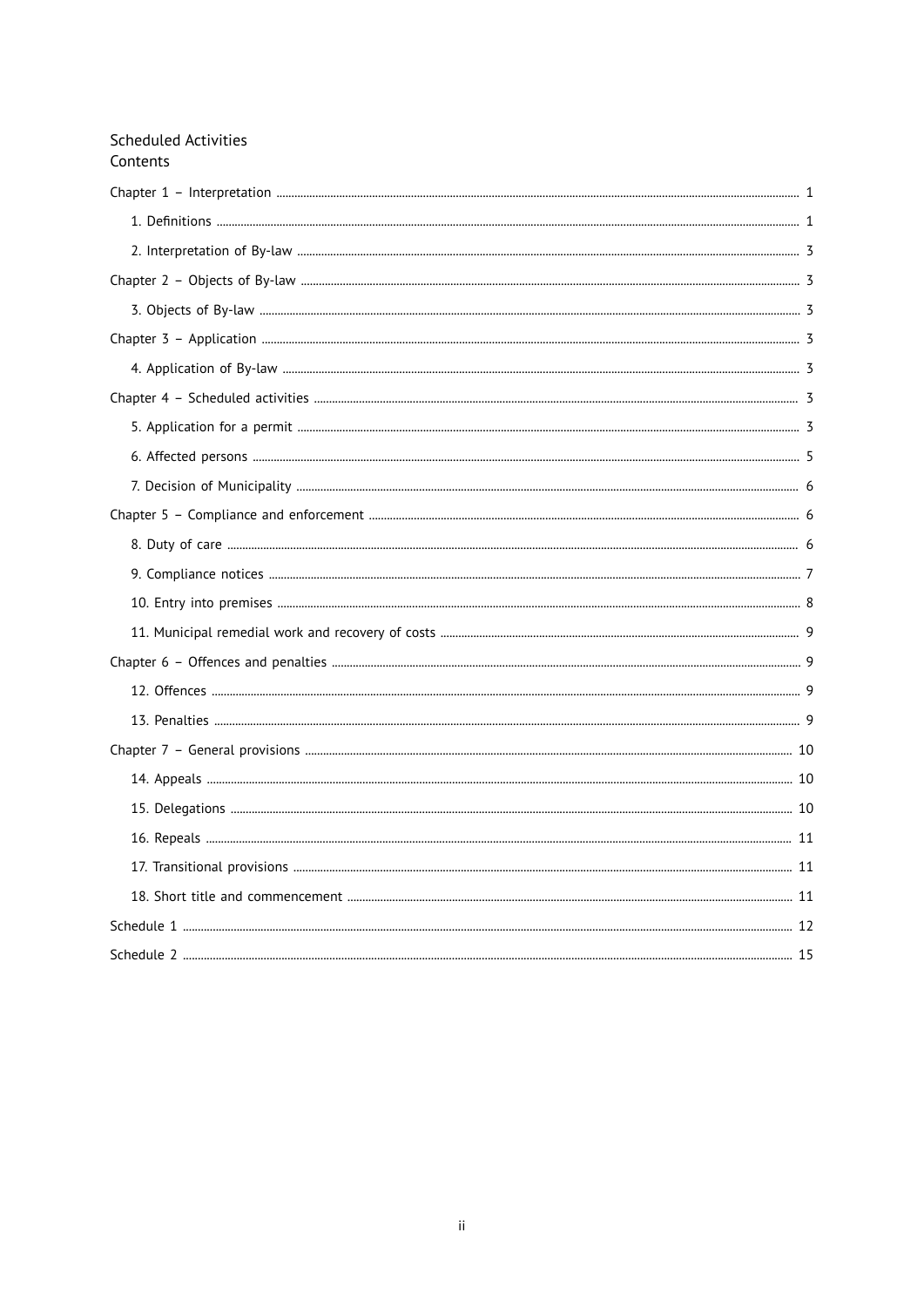| <b>Scheduled Activities</b><br>Contents |  |
|-----------------------------------------|--|
|                                         |  |
|                                         |  |
|                                         |  |
|                                         |  |
|                                         |  |
|                                         |  |
|                                         |  |
|                                         |  |
|                                         |  |
|                                         |  |
|                                         |  |
|                                         |  |
|                                         |  |
|                                         |  |
|                                         |  |
|                                         |  |
|                                         |  |
|                                         |  |
|                                         |  |
|                                         |  |
|                                         |  |
|                                         |  |
|                                         |  |
|                                         |  |
|                                         |  |
|                                         |  |
|                                         |  |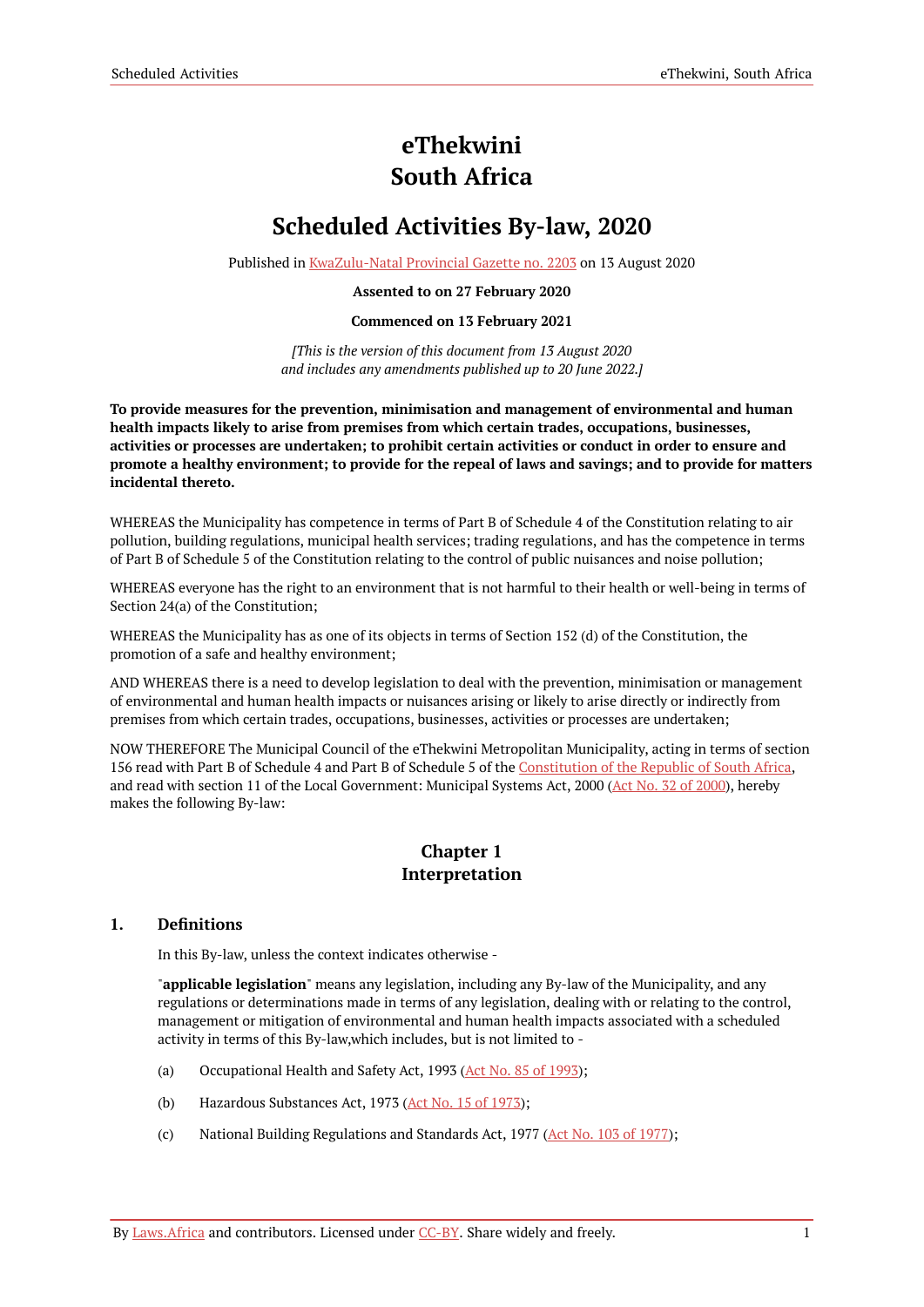# **eThekwini South Africa**

# **Scheduled Activities By-law, 2020**

Published in [KwaZulu-Natal](https://commons.laws.africa/akn/za-eth/act/by-law/2020/scheduled-activities/media/publication/za-eth-act-by-law-2020-scheduled-activities-publication-document.pdf) Provincial Gazette no. 2203 on 13 August 2020

#### **Assented to on 27 February 2020**

#### **Commenced on 13 February 2021**

*[This is the version of this document from 13 August 2020 and includes any amendments published up to 20 June 2022.]*

**To provide measures for the prevention, minimisation and management of environmental and human health impacts likely to arise from premises from which certain trades, occupations, businesses, activities or processes are undertaken; to prohibit certain activities or conduct in order to ensure and** promote a healthy environment; to provide for the repeal of laws and savings; and to provide for matters **incidental thereto.**

WHEREAS the Municipality has competence in terms of Part B of Schedule 4 of the Constitution relating to air pollution, building regulations, municipal health services; trading regulations, and has the competence in terms of Part B of Schedule 5 of the Constitution relating to the control of public nuisances and noise pollution;

WHEREAS everyone has the right to an environment that is not harmful to their health or well-being in terms of Section 24(a) of the Constitution;

WHEREAS the Municipality has as one of its objects in terms of Section 152 (d) of the Constitution, the promotion of a safe and healthy environment;

AND WHEREAS there is a need to develop legislation to deal with the prevention, minimisation or management of environmental and human health impacts or nuisances arising or likely to arise directly or indirectly from premises from which certain trades, occupations, businesses, activities or processes are undertaken;

NOW THEREFORE The Municipal Council of the eThekwini Metropolitan Municipality, acting in terms of section 156 read with Part B of Schedule 4 and Part B of Schedule 5 of the [Constitution](https://resolver.laws.africa/resolve/akn/za/act/1996/constitution) of the Republic of South Africa, and read with section 11 of the Local Government: Municipal Systems Act, 2000 (Act No. 32 of [2000\)](https://resolver.laws.africa/resolve/akn/za/act/2000/32), hereby makes the following By-law:

### **Chapter 1 Interpretation**

#### <span id="page-2-1"></span><span id="page-2-0"></span>**1. Definitions**

In this By-law, unless the context indicates otherwise -

"**applicable legislation**" means any legislation, including any By-law of the Municipality, and any regulations or determinations made in terms of any legislation, dealing with or relating to the control, management or mitigation of environmental and human health impacts associated with a scheduled activity in terms of this By-law,which includes, but is not limited to -

- (a) Occupational Health and Safety Act, 1993 (Act No. 85 of [1993\)](https://resolver.laws.africa/resolve/akn/za/act/1993/85);
- (b) Hazardous Substances Act, 1973 (Act No. 15 of [1973\)](https://resolver.laws.africa/resolve/akn/za/act/1973/15);
- (c) National Building Regulations and Standards Act, 1977 (Act No. 103 of [1977\)](https://resolver.laws.africa/resolve/akn/za/act/1977/103);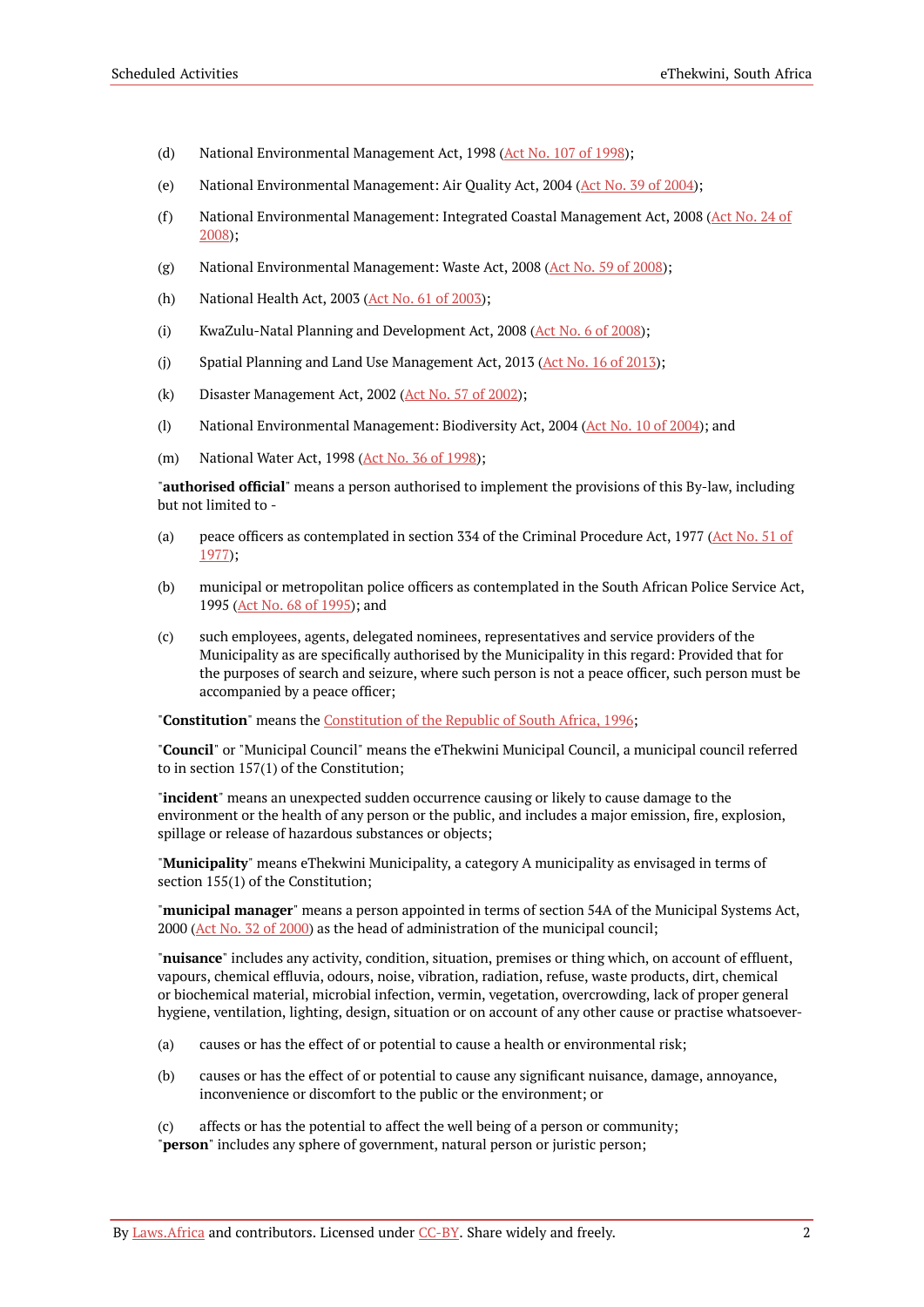- (d) National Environmental Management Act, 1998 (Act No. 107 of [1998\)](https://resolver.laws.africa/resolve/akn/za/act/1998/107);
- (e) National Environmental Management: Air Quality Act, 2004 (Act No. 39 of [2004](https://resolver.laws.africa/resolve/akn/za/act/2004/39));
- (f) National Environmental Management: Integrated Coastal Management Act, 2008 (Act [No.](https://resolver.laws.africa/resolve/akn/za/act/2008/24) 24 of [2008\)](https://resolver.laws.africa/resolve/akn/za/act/2008/24);
- (g) National Environmental Management: Waste Act, 2008 (Act No. 59 of [2008](https://resolver.laws.africa/resolve/akn/za/act/2008/59));
- (h) National Health Act, 2003 (Act No. 61 of [2003](https://resolver.laws.africa/resolve/akn/za/act/2003/61));
- (i) KwaZulu-Natal Planning and Development Act, 2008 (Act No. 6 of [2008](https://resolver.laws.africa/resolve/akn/za/act/2008/6));
- (j) Spatial Planning and Land Use Management Act, 2013 (Act No. 16 of [2013\)](https://resolver.laws.africa/resolve/akn/za/act/2013/16);
- (k) Disaster Management Act, 2002 ( $Act$  No. 57 of [2002\)](https://resolver.laws.africa/resolve/akn/za/act/2002/57);
- (l) National Environmental Management: Biodiversity Act, 2004 (Act No. 10 of [2004\)](https://resolver.laws.africa/resolve/akn/za/act/2004/10); and
- (m) National Water Act, 1998 (Act No. 36 of [1998](https://resolver.laws.africa/resolve/akn/za/act/1998/36));

"**authorised official**" means a person authorised to implement the provisions of this By-law, including but not limited to -

- (a) peace officers as contemplated in section 334 of the Criminal Procedure Act, 1977 (Act [No.](https://resolver.laws.africa/resolve/akn/za/act/1977/51) 51 of [1977\)](https://resolver.laws.africa/resolve/akn/za/act/1977/51);
- (b) municipal or metropolitan police officers as contemplated in the South African Police Service Act, 1995 (Act No. 68 of [1995](https://resolver.laws.africa/resolve/akn/za/act/1995/68)); and
- (c) such employees, agents, delegated nominees, representatives and service providers of the Municipality as are specifically authorised by the Municipality in this regard: Provided that for the purposes of search and seizure, where such person is not a peace officer, such person must be accompanied by a peace officer;

"**Constitution**" means the [Constitution](https://resolver.laws.africa/resolve/akn/za/act/1996/constitution) of the Republic of South Africa, 1996;

"**Council**" or "Municipal Council" means the eThekwini Municipal Council, a municipal council referred to in section 157(1) of the Constitution;

"**incident**" means an unexpected sudden occurrence causing or likely to cause damage to the environment or the health of any person or the public, and includes a major emission, fire, explosion, spillage or release of hazardous substances or objects;

"**Municipality**" means eThekwini Municipality, a category A municipality as envisaged in terms of section 155(1) of the Constitution;

"**municipal manager**" means a person appointed in terms of section 54A of the Municipal Systems Act, 2000 (Act No. 32 of [2000](https://resolver.laws.africa/resolve/akn/za/act/2000/32)) as the head of administration of the municipal council;

"**nuisance**" includes any activity, condition, situation, premises or thing which, on account of effluent, vapours, chemical effluvia, odours, noise, vibration, radiation, refuse, waste products, dirt, chemical or biochemical material, microbial infection, vermin, vegetation, overcrowding, lack of proper general hygiene, ventilation, lighting, design, situation or on account of any other cause or practise whatsoever-

- (a) causes or has the effect of or potential to cause a health or environmental risk;
- (b) causes or has the effect of or potential to cause any significant nuisance, damage, annoyance, inconvenience or discomfort to the public or the environment; or
- (c) affects or has the potential to affect the well being of a person or community; "**person**" includes any sphere of government, natural person or juristic person;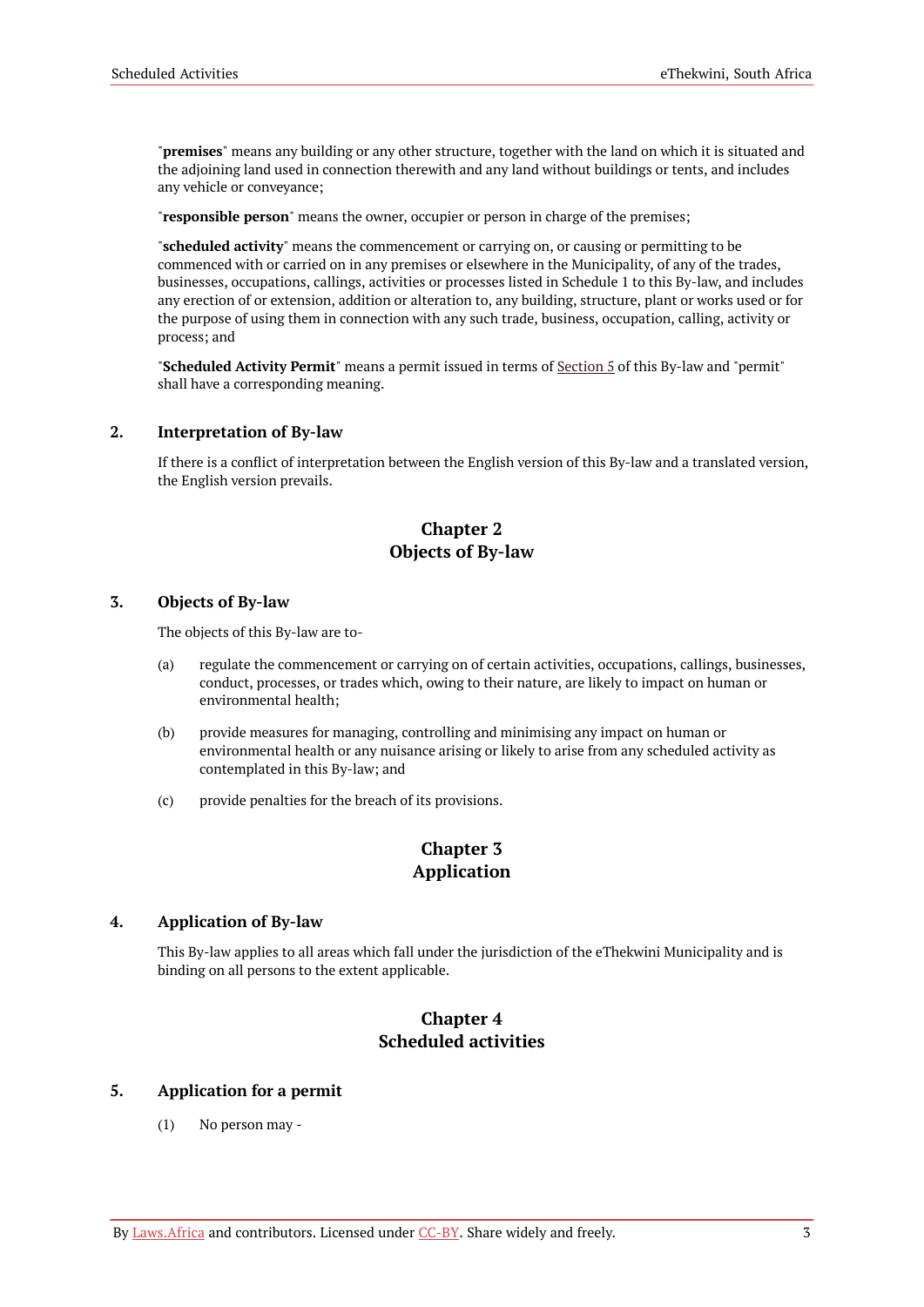"**premises**" means any building or any other structure, together with the land on which it is situated and the adjoining land used in connection therewith and any land without buildings or tents, and includes any vehicle or conveyance;

"**responsible person**" means the owner, occupier or person in charge of the premises;

"**scheduled activity**" means the commencement or carrying on, or causing or permitting to be commenced with or carried on in any premises or elsewhere in the Municipality, of any of the trades, businesses, occupations, callings, activities or processes listed in Schedule 1 to this By-law, and includes any erection of or extension, addition or alteration to, any building, structure, plant or works used or for the purpose of using them in connection with any such trade, business, occupation, calling, activity or process; and

"**Scheduled Activity Permit**" means a permit issued in terms of [Section](#page-4-6) 5 of this By-law and "permit" shall have a corresponding meaning.

#### <span id="page-4-0"></span>**2. Interpretation of By-law**

If there is a conflict of interpretation between the English version of this By-law and a translated version, the English version prevails.

### **Chapter 2 Objects of By-law**

#### <span id="page-4-2"></span><span id="page-4-1"></span>**3. Objects of By-law**

The objects of this By-law are to-

- (a) regulate the commencement or carrying on of certain activities, occupations, callings, businesses, conduct, processes, or trades which, owing to their nature, are likely to impact on human or environmental health;
- (b) provide measures for managing, controlling and minimising any impact on human or environmental health or any nuisance arising or likely to arise from any scheduled activity as contemplated in this By-law; and
- <span id="page-4-3"></span>(c) provide penalties for the breach of its provisions.

### **Chapter 3 Application**

#### <span id="page-4-4"></span>**4. Application of By-law**

This By-law applies to all areas which fall under the jurisdiction of the eThekwini Municipality and is binding on all persons to the extent applicable.

### **Chapter 4 Scheduled activities**

#### <span id="page-4-6"></span><span id="page-4-5"></span>**5. Application for a permit**

(1) No person may -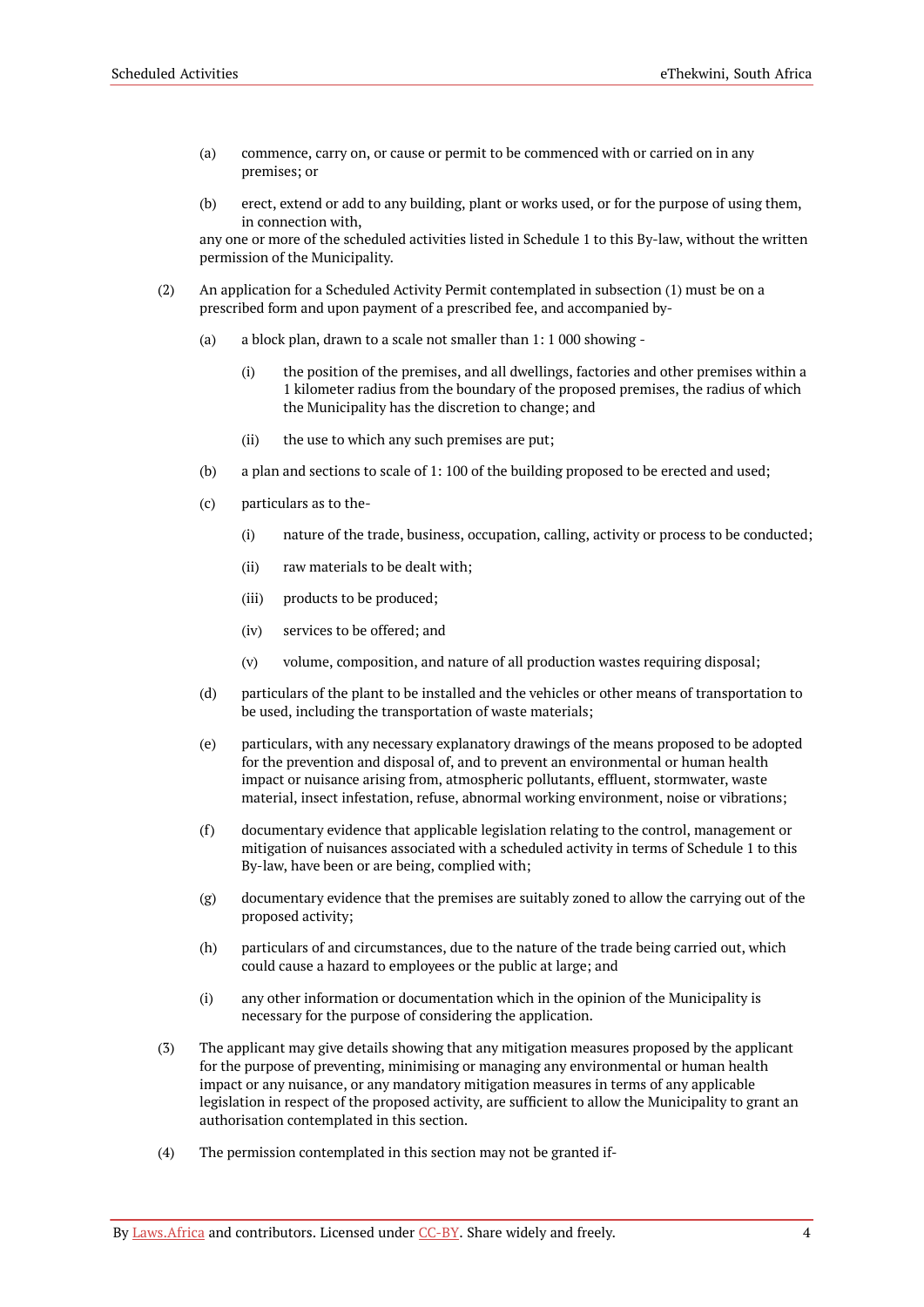- (a) commence, carry on, or cause or permit to be commenced with or carried on in any premises; or
- (b) erect, extend or add to any building, plant or works used, or for the purpose of using them, in connection with,

any one or more of the scheduled activities listed in Schedule 1 to this By-law, without the written permission of the Municipality.

- (2) An application for a Scheduled Activity Permit contemplated in subsection (1) must be on a prescribed form and upon payment of a prescribed fee, and accompanied by-
	- (a) a block plan, drawn to a scale not smaller than 1: 1 000 showing
		- (i) the position of the premises, and all dwellings, factories and other premises within a 1 kilometer radius from the boundary of the proposed premises, the radius of which the Municipality has the discretion to change; and
		- (ii) the use to which any such premises are put;
	- (b) a plan and sections to scale of 1: 100 of the building proposed to be erected and used;
	- (c) particulars as to the-
		- (i) nature of the trade, business, occupation, calling, activity or process to be conducted;
		- (ii) raw materials to be dealt with;
		- (iii) products to be produced;
		- (iv) services to be offered; and
		- (v) volume, composition, and nature of all production wastes requiring disposal;
	- (d) particulars of the plant to be installed and the vehicles or other means of transportation to be used, including the transportation of waste materials;
	- (e) particulars, with any necessary explanatory drawings of the means proposed to be adopted for the prevention and disposal of, and to prevent an environmental or human health impact or nuisance arising from, atmospheric pollutants, effluent, stormwater, waste material, insect infestation, refuse, abnormal working environment, noise or vibrations;
	- (f) documentary evidence that applicable legislation relating to the control, management or mitigation of nuisances associated with a scheduled activity in terms of Schedule 1 to this By-law, have been or are being, complied with;
	- (g) documentary evidence that the premises are suitably zoned to allow the carrying out of the proposed activity;
	- (h) particulars of and circumstances, due to the nature of the trade being carried out, which could cause a hazard to employees or the public at large; and
	- (i) any other information or documentation which in the opinion of the Municipality is necessary for the purpose of considering the application.
- (3) The applicant may give details showing that any mitigation measures proposed by the applicant for the purpose of preventing, minimising or managing any environmental or human health impact or any nuisance, or any mandatory mitigation measures in terms of any applicable legislation in respect of the proposed activity, are sufficient to allow the Municipality to grant an authorisation contemplated in this section.
- (4) The permission contemplated in this section may not be granted if-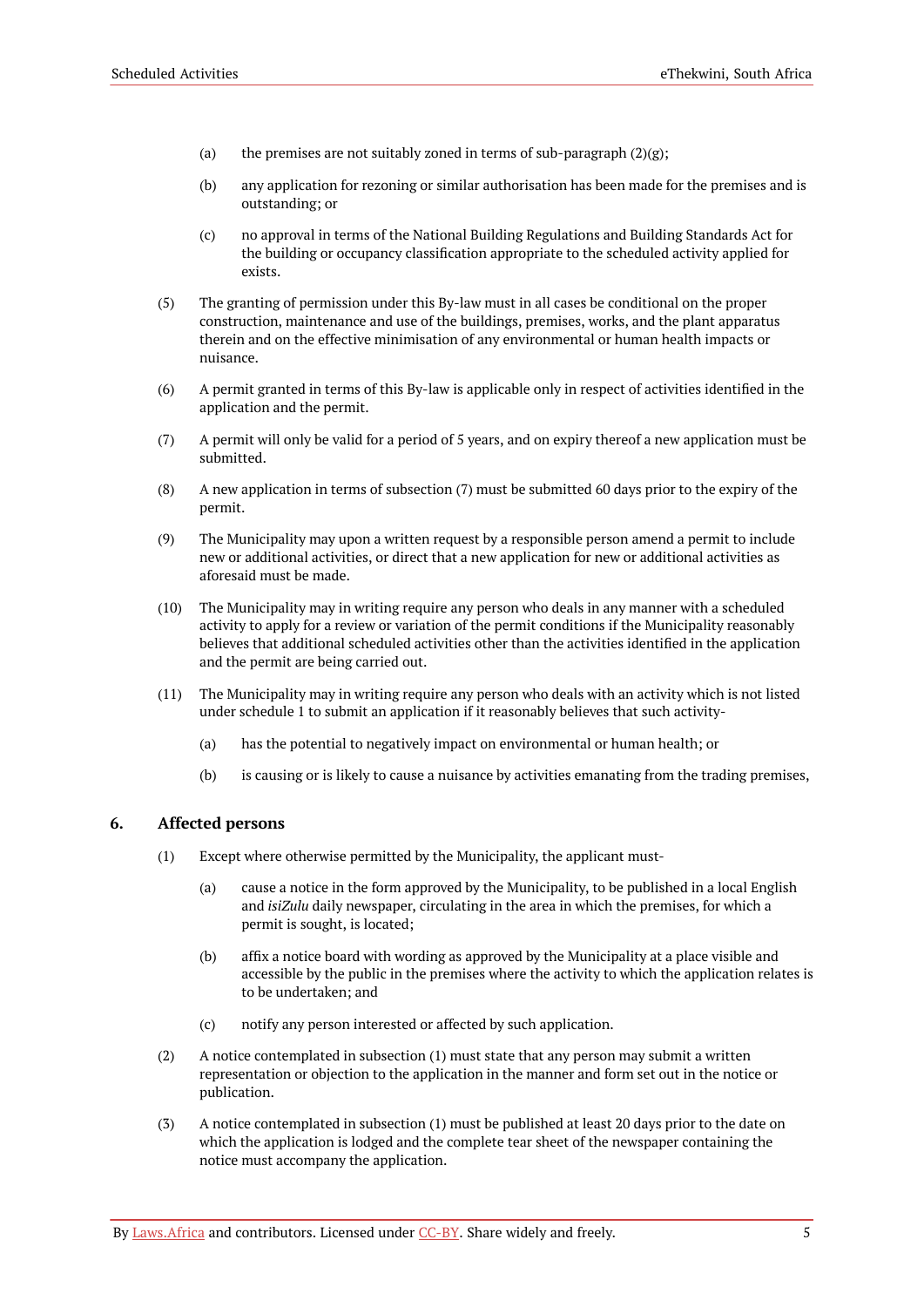- (a) the premises are not suitably zoned in terms of sub-paragraph  $(2)(g)$ ;
- (b) any application for rezoning or similar authorisation has been made for the premises and is outstanding; or
- (c) no approval in terms of the National Building Regulations and Building Standards Act for the building or occupancy classification appropriate to the scheduled activity applied for exists.
- (5) The granting of permission under this By-law must in all cases be conditional on the proper construction, maintenance and use of the buildings, premises, works, and the plant apparatus therein and on the effective minimisation of any environmental or human health impacts or nuisance.
- (6) A permit granted in terms of this By-law is applicable only in respect of activities identified in the application and the permit.
- (7) A permit will only be valid for a period of 5 years, and on expiry thereof a new application must be submitted.
- (8) A new application in terms of subsection (7) must be submitted 60 days prior to the expiry of the permit.
- (9) The Municipality may upon a written request by a responsible person amend a permit to include new or additional activities, or direct that a new application for new or additional activities as aforesaid must be made.
- (10) The Municipality may in writing require any person who deals in any manner with a scheduled activity to apply for a review or variation of the permit conditions if the Municipality reasonably believes that additional scheduled activities other than the activities identified in the application and the permit are being carried out.
- (11) The Municipality may in writing require any person who deals with an activity which is not listed under schedule 1 to submit an application if it reasonably believes that such activity-
	- (a) has the potential to negatively impact on environmental or human health; or
	- (b) is causing or is likely to cause a nuisance by activities emanating from the trading premises,

#### <span id="page-6-0"></span>**6. Affected persons**

- (1) Except where otherwise permitted by the Municipality, the applicant must-
	- (a) cause a notice in the form approved by the Municipality, to be published in a local English and *isiZulu* daily newspaper, circulating in the area in which the premises, for which a permit is sought, is located;
	- (b) affix a notice board with wording as approved by the Municipality at a place visible and accessible by the public in the premises where the activity to which the application relates is to be undertaken; and
	- (c) notify any person interested or affected by such application.
- (2) A notice contemplated in subsection (1) must state that any person may submit a written representation or objection to the application in the manner and form set out in the notice or publication.
- (3) A notice contemplated in subsection (1) must be published at least 20 days prior to the date on which the application is lodged and the complete tear sheet of the newspaper containing the notice must accompany the application.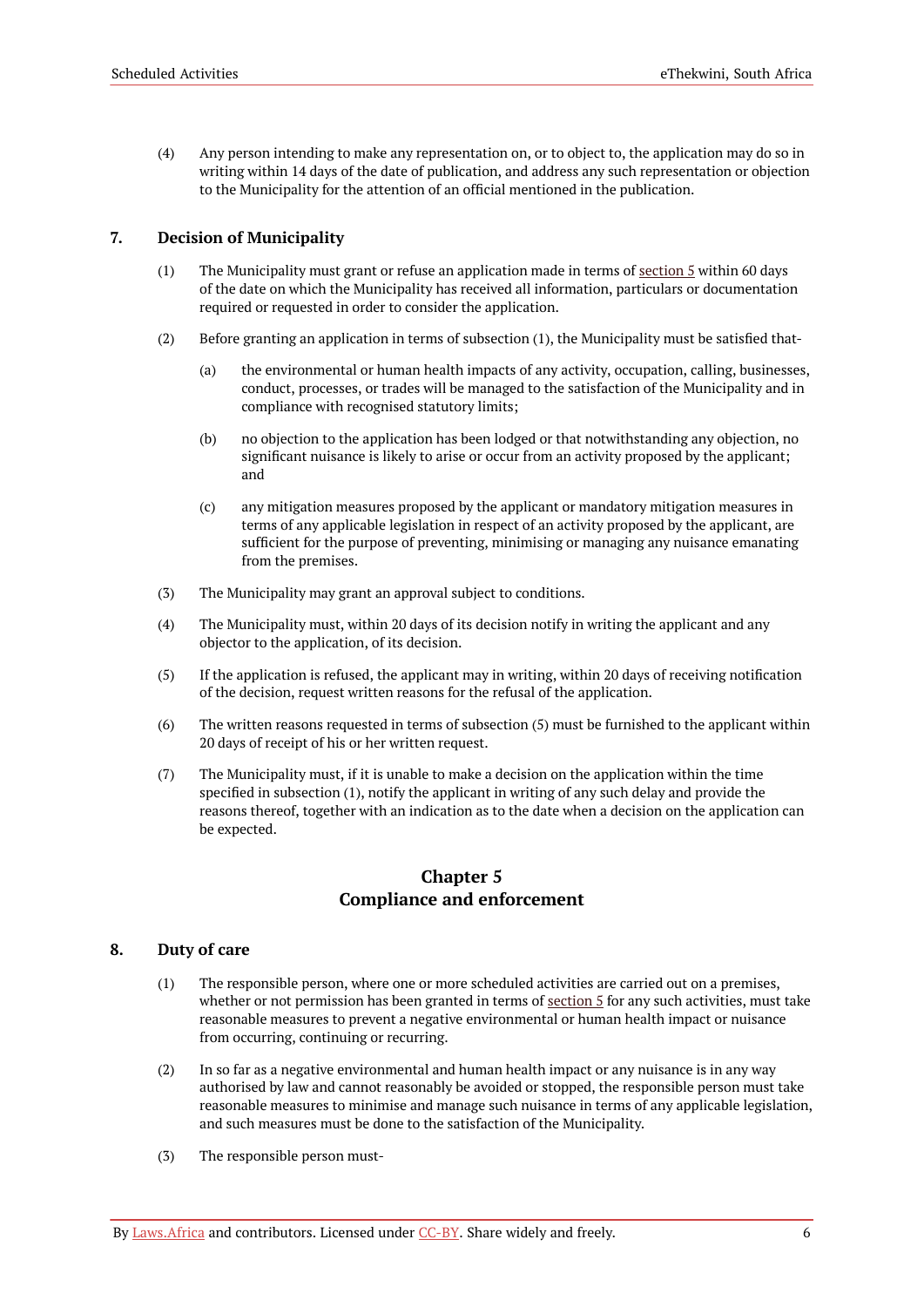(4) Any person intending to make any representation on, or to object to, the application may do so in writing within 14 days of the date of publication, and address any such representation or objection to the Municipality for the attention of an official mentioned in the publication.

#### <span id="page-7-0"></span>**7. Decision of Municipality**

- (1) The Municipality must grant or refuse an application made in terms of [section](#page-4-6)  $5$  within 60 days of the date on which the Municipality has received all information, particulars or documentation required or requested in order to consider the application.
- (2) Before granting an application in terms of subsection (1), the Municipality must be satisfied that-
	- (a) the environmental or human health impacts of any activity, occupation, calling, businesses, conduct, processes, or trades will be managed to the satisfaction of the Municipality and in compliance with recognised statutory limits;
	- (b) no objection to the application has been lodged or that notwithstanding any objection, no significant nuisance is likely to arise or occur from an activity proposed by the applicant; and
	- (c) any mitigation measures proposed by the applicant or mandatory mitigation measures in terms of any applicable legislation in respect of an activity proposed by the applicant, are sufficient for the purpose of preventing, minimising or managing any nuisance emanating from the premises.
- (3) The Municipality may grant an approval subject to conditions.
- (4) The Municipality must, within 20 days of its decision notify in writing the applicant and any objector to the application, of its decision.
- (5) If the application is refused, the applicant may in writing, within 20 days of receiving notification of the decision, request written reasons for the refusal of the application.
- (6) The written reasons requested in terms of subsection (5) must be furnished to the applicant within 20 days of receipt of his or her written request.
- (7) The Municipality must, if it is unable to make a decision on the application within the time specified in subsection (1), notify the applicant in writing of any such delay and provide the reasons thereof, together with an indication as to the date when a decision on the application can be expected.

### **Chapter 5 Compliance and enforcement**

#### <span id="page-7-2"></span><span id="page-7-1"></span>**8. Duty of care**

- (1) The responsible person, where one or more scheduled activities are carried out on a premises, whether or not permission has been granted in terms of [section](#page-4-6) 5 for any such activities, must take reasonable measures to prevent a negative environmental or human health impact or nuisance from occurring, continuing or recurring.
- (2) In so far as a negative environmental and human health impact or any nuisance is in any way authorised by law and cannot reasonably be avoided or stopped, the responsible person must take reasonable measures to minimise and manage such nuisance in terms of any applicable legislation, and such measures must be done to the satisfaction of the Municipality.
- (3) The responsible person must-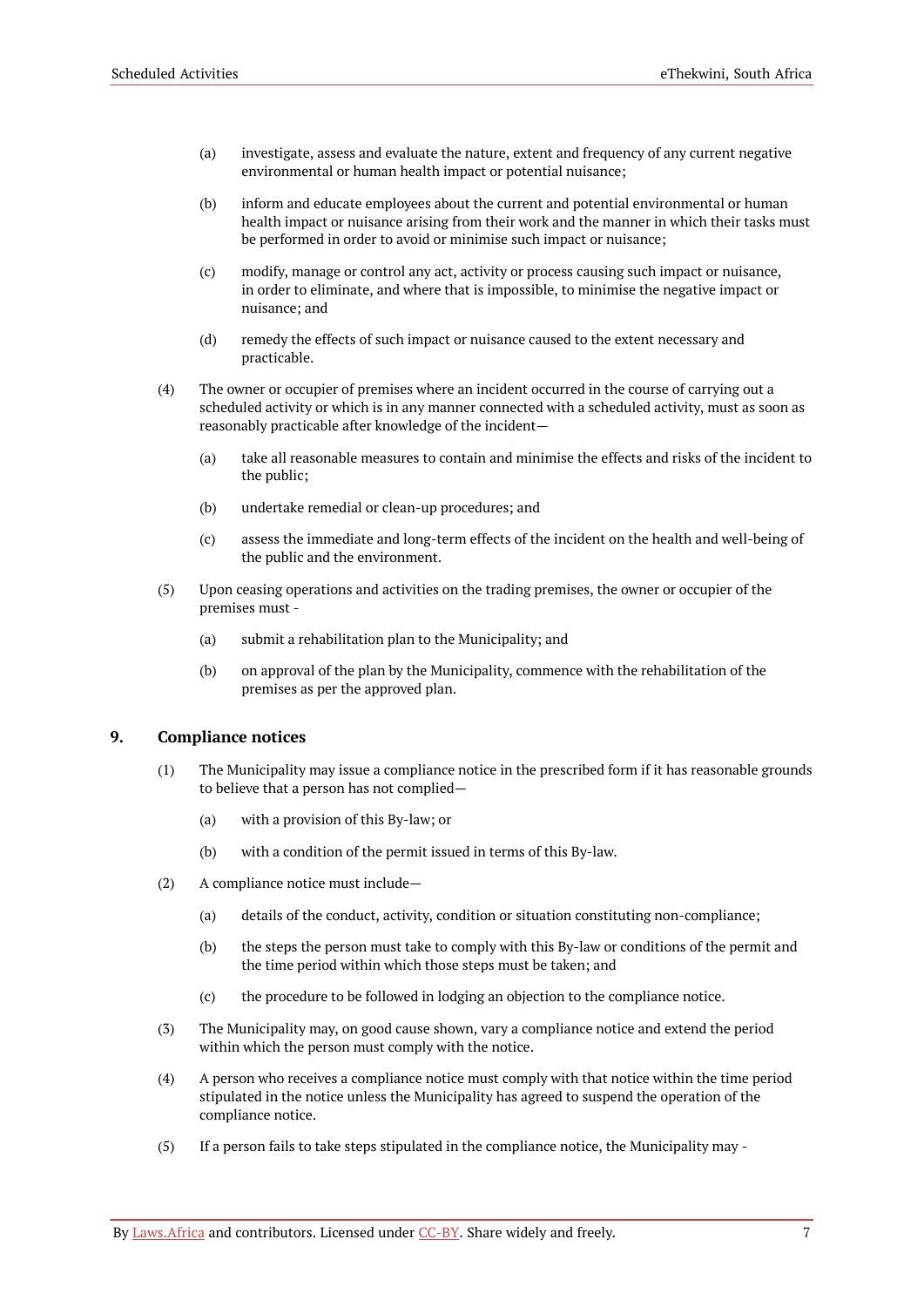- (a) investigate, assess and evaluate the nature, extent and frequency of any current negative environmental or human health impact or potential nuisance;
- (b) inform and educate employees about the current and potential environmental or human health impact or nuisance arising from their work and the manner in which their tasks must be performed in order to avoid or minimise such impact or nuisance;
- (c) modify, manage or control any act, activity or process causing such impact or nuisance, in order to eliminate, and where that is impossible, to minimise the negative impact or nuisance; and
- (d) remedy the effects of such impact or nuisance caused to the extent necessary and practicable.
- (4) The owner or occupier of premises where an incident occurred in the course of carrying out a scheduled activity or which is in any manner connected with a scheduled activity, must as soon as reasonably practicable after knowledge of the incident—
	- (a) take all reasonable measures to contain and minimise the effects and risks of the incident to the public;
	- (b) undertake remedial or clean-up procedures; and
	- (c) assess the immediate and long-term effects of the incident on the health and well-being of the public and the environment.
- (5) Upon ceasing operations and activities on the trading premises, the owner or occupier of the premises must -
	- (a) submit a rehabilitation plan to the Municipality; and
	- (b) on approval of the plan by the Municipality, commence with the rehabilitation of the premises as per the approved plan.

#### <span id="page-8-0"></span>**9. Compliance notices**

- (1) The Municipality may issue a compliance notice in the prescribed form if it has reasonable grounds to believe that a person has not complied—
	- (a) with a provision of this By-law; or
	- (b) with a condition of the permit issued in terms of this By-law.
- (2) A compliance notice must include—
	- (a) details of the conduct, activity, condition or situation constituting non-compliance;
	- (b) the steps the person must take to comply with this By-law or conditions of the permit and the time period within which those steps must be taken; and
	- (c) the procedure to be followed in lodging an objection to the compliance notice.
- (3) The Municipality may, on good cause shown, vary a compliance notice and extend the period within which the person must comply with the notice.
- (4) A person who receives a compliance notice must comply with that notice within the time period stipulated in the notice unless the Municipality has agreed to suspend the operation of the compliance notice.
- (5) If a person fails to take steps stipulated in the compliance notice, the Municipality may -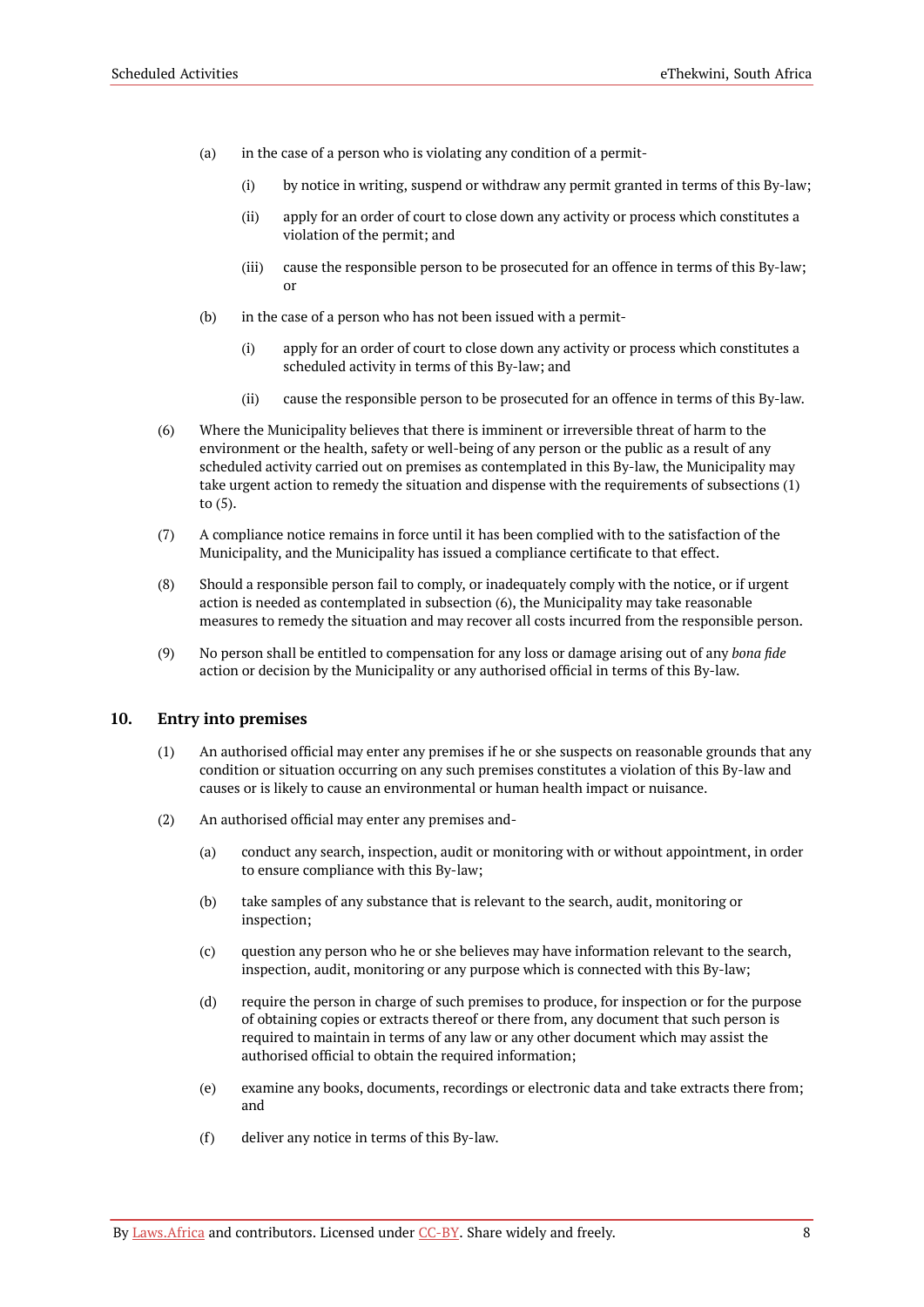- (a) in the case of a person who is violating any condition of a permit-
	- (i) by notice in writing, suspend or withdraw any permit granted in terms of this By-law;
	- (ii) apply for an order of court to close down any activity or process which constitutes a violation of the permit; and
	- (iii) cause the responsible person to be prosecuted for an offence in terms of this By-law; or
- (b) in the case of a person who has not been issued with a permit-
	- (i) apply for an order of court to close down any activity or process which constitutes a scheduled activity in terms of this By-law; and
	- (ii) cause the responsible person to be prosecuted for an offence in terms of this By-law.
- (6) Where the Municipality believes that there is imminent or irreversible threat of harm to the environment or the health, safety or well-being of any person or the public as a result of any scheduled activity carried out on premises as contemplated in this By-law, the Municipality may take urgent action to remedy the situation and dispense with the requirements of subsections (1) to (5).
- (7) A compliance notice remains in force until it has been complied with to the satisfaction of the Municipality, and the Municipality has issued a compliance certificate to that effect.
- (8) Should a responsible person fail to comply, or inadequately comply with the notice, or if urgent action is needed as contemplated in subsection (6), the Municipality may take reasonable measures to remedy the situation and may recover all costs incurred from the responsible person.
- (9) No person shall be entitled to compensation for any loss or damage arising out of any *bona fide* action or decision by the Municipality or any authorised official in terms of this By-law.

#### <span id="page-9-0"></span>**10. Entry into premises**

- (1) An authorised official may enter any premises if he or she suspects on reasonable grounds that any condition or situation occurring on any such premises constitutes a violation of this By-law and causes or is likely to cause an environmental or human health impact or nuisance.
- (2) An authorised official may enter any premises and-
	- (a) conduct any search, inspection, audit or monitoring with or without appointment, in order to ensure compliance with this By-law;
	- (b) take samples of any substance that is relevant to the search, audit, monitoring or inspection;
	- (c) question any person who he or she believes may have information relevant to the search, inspection, audit, monitoring or any purpose which is connected with this By-law;
	- (d) require the person in charge of such premises to produce, for inspection or for the purpose of obtaining copies or extracts thereof or there from, any document that such person is required to maintain in terms of any law or any other document which may assist the authorised official to obtain the required information;
	- (e) examine any books, documents, recordings or electronic data and take extracts there from; and
	- (f) deliver any notice in terms of this By-law.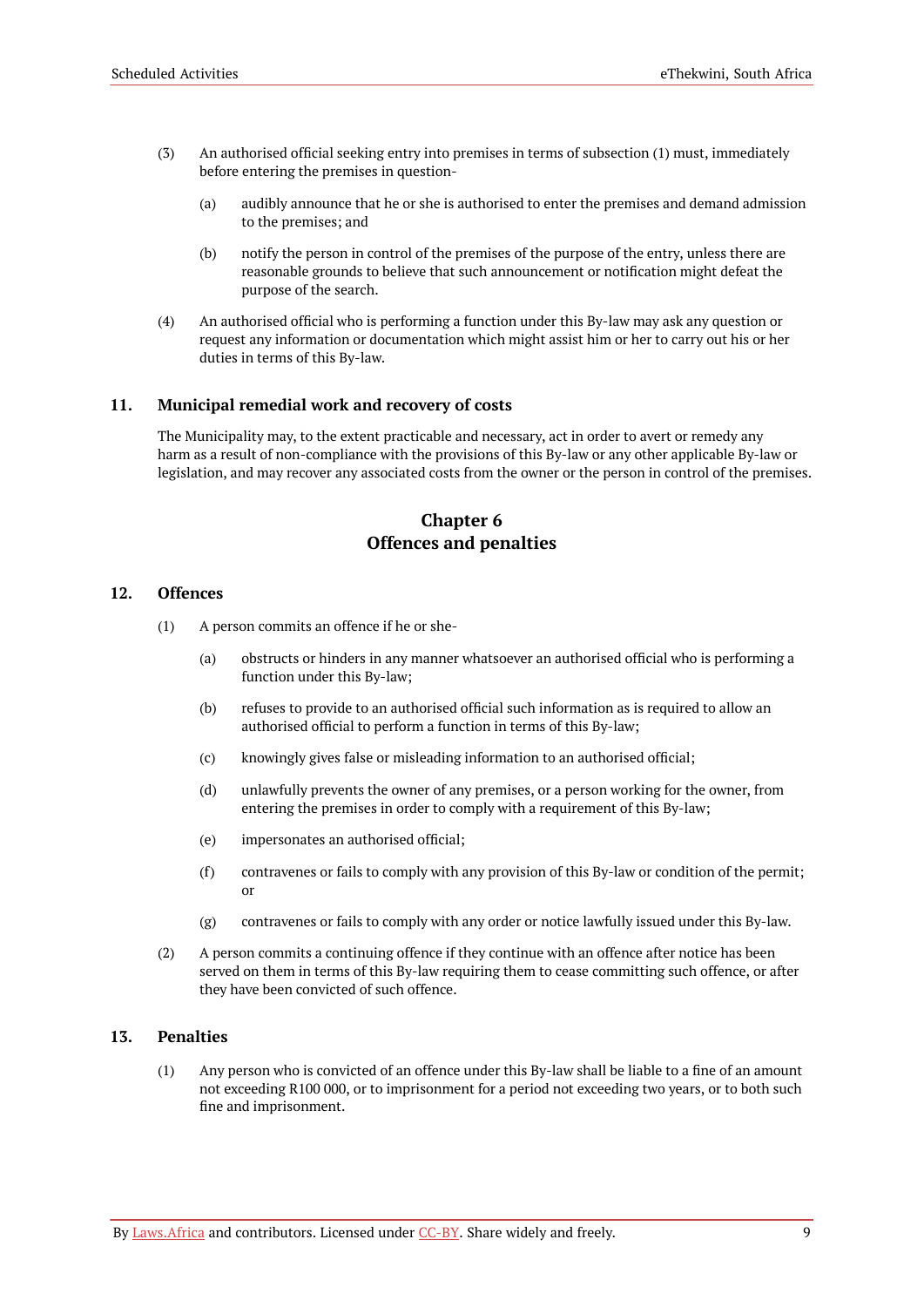- (3) An authorised official seeking entry into premises in terms of subsection (1) must, immediately before entering the premises in question-
	- (a) audibly announce that he or she is authorised to enter the premises and demand admission to the premises; and
	- (b) notify the person in control of the premises of the purpose of the entry, unless there are reasonable grounds to believe that such announcement or notification might defeat the purpose of the search.
- (4) An authorised official who is performing a function under this By-law may ask any question or request any information or documentation which might assist him or her to carry out his or her duties in terms of this By-law.

#### <span id="page-10-0"></span>**11. Municipal remedial work and recovery of costs**

The Municipality may, to the extent practicable and necessary, act in order to avert or remedy any harm as a result of non-compliance with the provisions of this By-law or any other applicable By-law or legislation, and may recover any associated costs from the owner or the person in control of the premises.

### **Chapter 6 Offences and penalties**

#### <span id="page-10-2"></span><span id="page-10-1"></span>**12. Offences**

- (1) A person commits an offence if he or she-
	- (a) obstructs or hinders in any manner whatsoever an authorised official who is performing a function under this By-law;
	- (b) refuses to provide to an authorised official such information as is required to allow an authorised official to perform a function in terms of this By-law;
	- (c) knowingly gives false or misleading information to an authorised official;
	- (d) unlawfully prevents the owner of any premises, or a person working for the owner, from entering the premises in order to comply with a requirement of this By-law;
	- (e) impersonates an authorised official;
	- (f) contravenes or fails to comply with any provision of this By-law or condition of the permit; or
	- (g) contravenes or fails to comply with any order or notice lawfully issued under this By-law.
- (2) A person commits a continuing offence if they continue with an offence after notice has been served on them in terms of this By-law requiring them to cease committing such offence, or after they have been convicted of such offence.

#### <span id="page-10-3"></span>**13. Penalties**

(1) Any person who is convicted of an offence under this By-law shall be liable to a fine of an amount not exceeding R100 000, or to imprisonment for a period not exceeding two years, or to both such fine and imprisonment.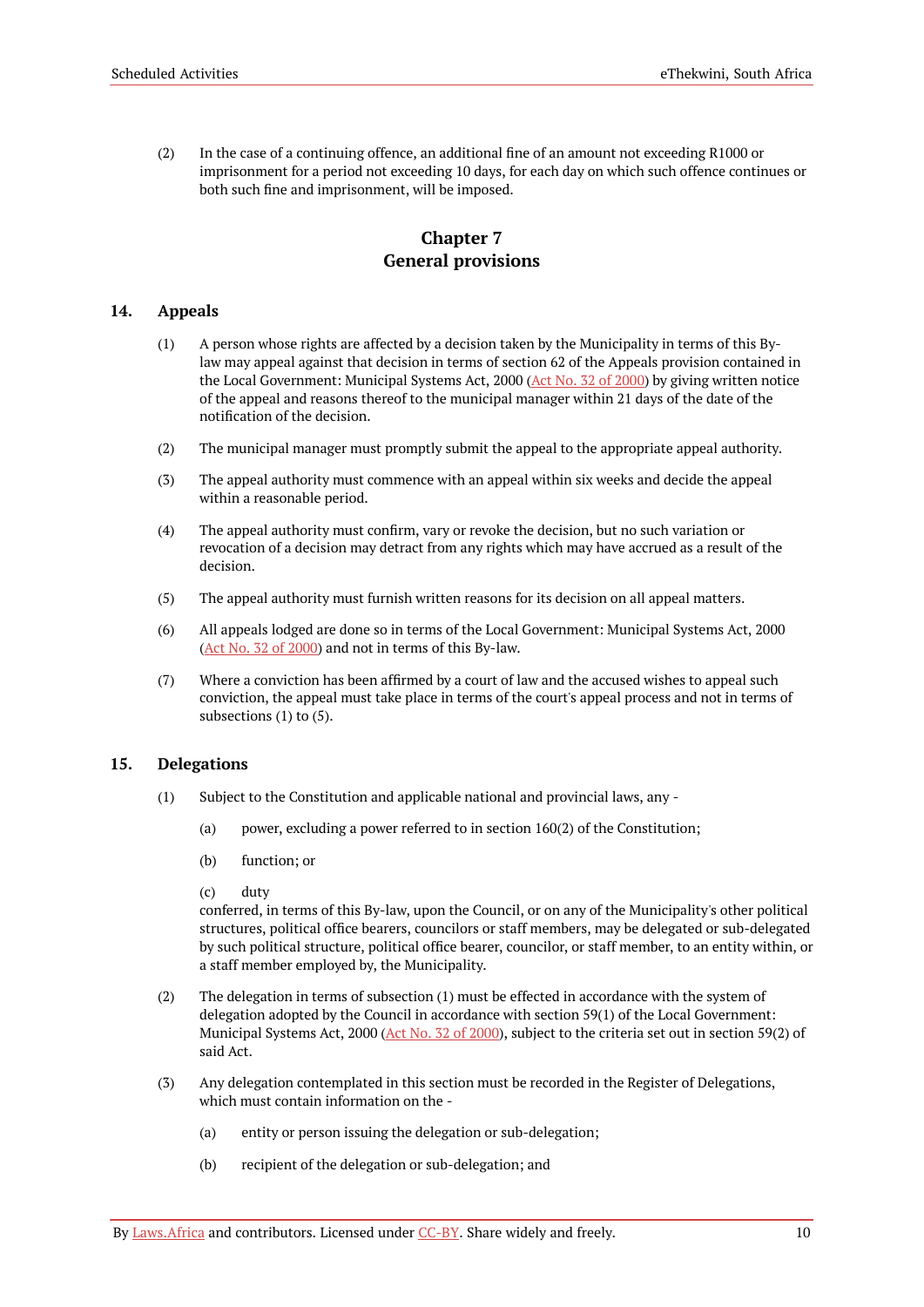(2) In the case of a continuing offence, an additional fine of an amount not exceeding R1000 or imprisonment for a period not exceeding 10 days, for each day on which such offence continues or both such fine and imprisonment, will be imposed.

### **Chapter 7 General provisions**

#### <span id="page-11-1"></span><span id="page-11-0"></span>**14. Appeals**

- (1) A person whose rights are affected by a decision taken by the Municipality in terms of this Bylaw may appeal against that decision in terms of section 62 of the Appeals provision contained in the Local Government: Municipal Systems Act, 2000 (Act No. 32 of [2000](https://resolver.laws.africa/resolve/akn/za/act/2000/32)) by giving written notice of the appeal and reasons thereof to the municipal manager within 21 days of the date of the notification of the decision.
- (2) The municipal manager must promptly submit the appeal to the appropriate appeal authority.
- (3) The appeal authority must commence with an appeal within six weeks and decide the appeal within a reasonable period.
- (4) The appeal authority must confirm, vary or revoke the decision, but no such variation or revocation of a decision may detract from any rights which may have accrued as a result of the decision.
- (5) The appeal authority must furnish written reasons for its decision on all appeal matters.
- (6) All appeals lodged are done so in terms of the Local Government: Municipal Systems Act, 2000 (Act No. 32 of [2000\)](https://resolver.laws.africa/resolve/akn/za/act/2000/32) and not in terms of this By-law.
- (7) Where a conviction has been affirmed by a court of law and the accused wishes to appeal such conviction, the appeal must take place in terms of the court's appeal process and not in terms of subsections (1) to (5).

#### <span id="page-11-2"></span>**15. Delegations**

- (1) Subject to the Constitution and applicable national and provincial laws, any
	- (a) power, excluding a power referred to in section 160(2) of the Constitution;
	- (b) function; or
	- (c) duty

conferred, in terms of this By-law, upon the Council, or on any of the Municipality's other political structures, political office bearers, councilors or staff members, may be delegated or sub-delegated by such political structure, political office bearer, councilor, or staff member, to an entity within, or a staff member employed by, the Municipality.

- (2) The delegation in terms of subsection (1) must be effected in accordance with the system of delegation adopted by the Council in accordance with section 59(1) of the Local Government: Municipal Systems Act, 2000 (Act No. 32 of [2000\)](https://resolver.laws.africa/resolve/akn/za/act/2000/32), subject to the criteria set out in section 59(2) of said Act.
- (3) Any delegation contemplated in this section must be recorded in the Register of Delegations, which must contain information on the -
	- (a) entity or person issuing the delegation or sub-delegation;
	- (b) recipient of the delegation or sub-delegation; and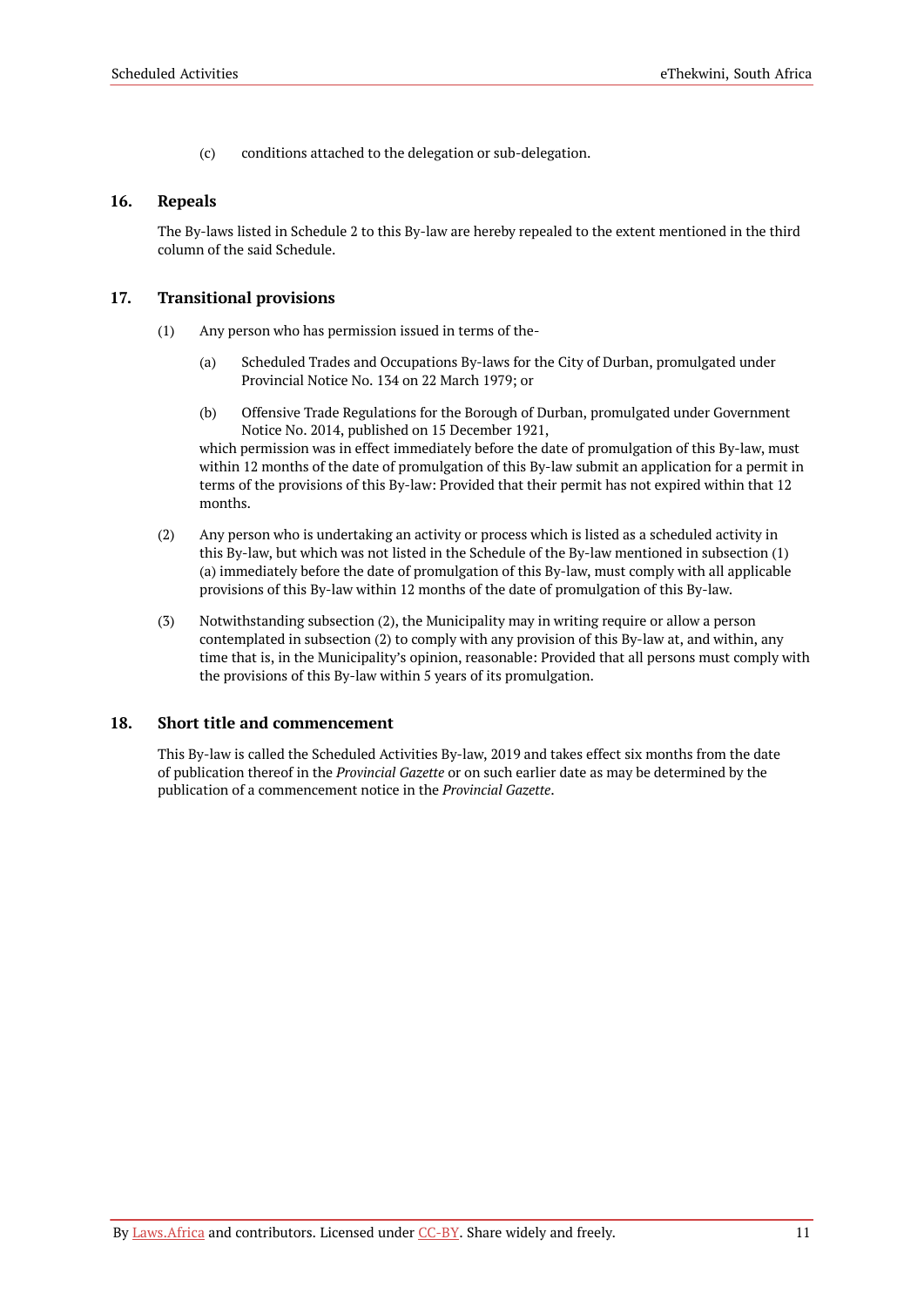(c) conditions attached to the delegation or sub-delegation.

#### <span id="page-12-0"></span>**16. Repeals**

The By-laws listed in Schedule 2 to this By-law are hereby repealed to the extent mentioned in the third column of the said Schedule.

#### <span id="page-12-1"></span>**17. Transitional provisions**

- (1) Any person who has permission issued in terms of the-
	- (a) Scheduled Trades and Occupations By-laws for the City of Durban, promulgated under Provincial Notice No. 134 on 22 March 1979; or
	- (b) Offensive Trade Regulations for the Borough of Durban, promulgated under Government Notice No. 2014, published on 15 December 1921,

which permission was in effect immediately before the date of promulgation of this By-law, must within 12 months of the date of promulgation of this By-law submit an application for a permit in terms of the provisions of this By-law: Provided that their permit has not expired within that 12 months.

- (2) Any person who is undertaking an activity or process which is listed as a scheduled activity in this By-law, but which was not listed in the Schedule of the By-law mentioned in subsection (1) (a) immediately before the date of promulgation of this By-law, must comply with all applicable provisions of this By-law within 12 months of the date of promulgation of this By-law.
- (3) Notwithstanding subsection (2), the Municipality may in writing require or allow a person contemplated in subsection (2) to comply with any provision of this By-law at, and within, any time that is, in the Municipality's opinion, reasonable: Provided that all persons must comply with the provisions of this By-law within 5 years of its promulgation.

#### <span id="page-12-2"></span>**18. Short title and commencement**

This By-law is called the Scheduled Activities By-law, 2019 and takes effect six months from the date of publication thereof in the *Provincial Gazette* or on such earlier date as may be determined by the publication of a commencement notice in the *Provincial Gazette*.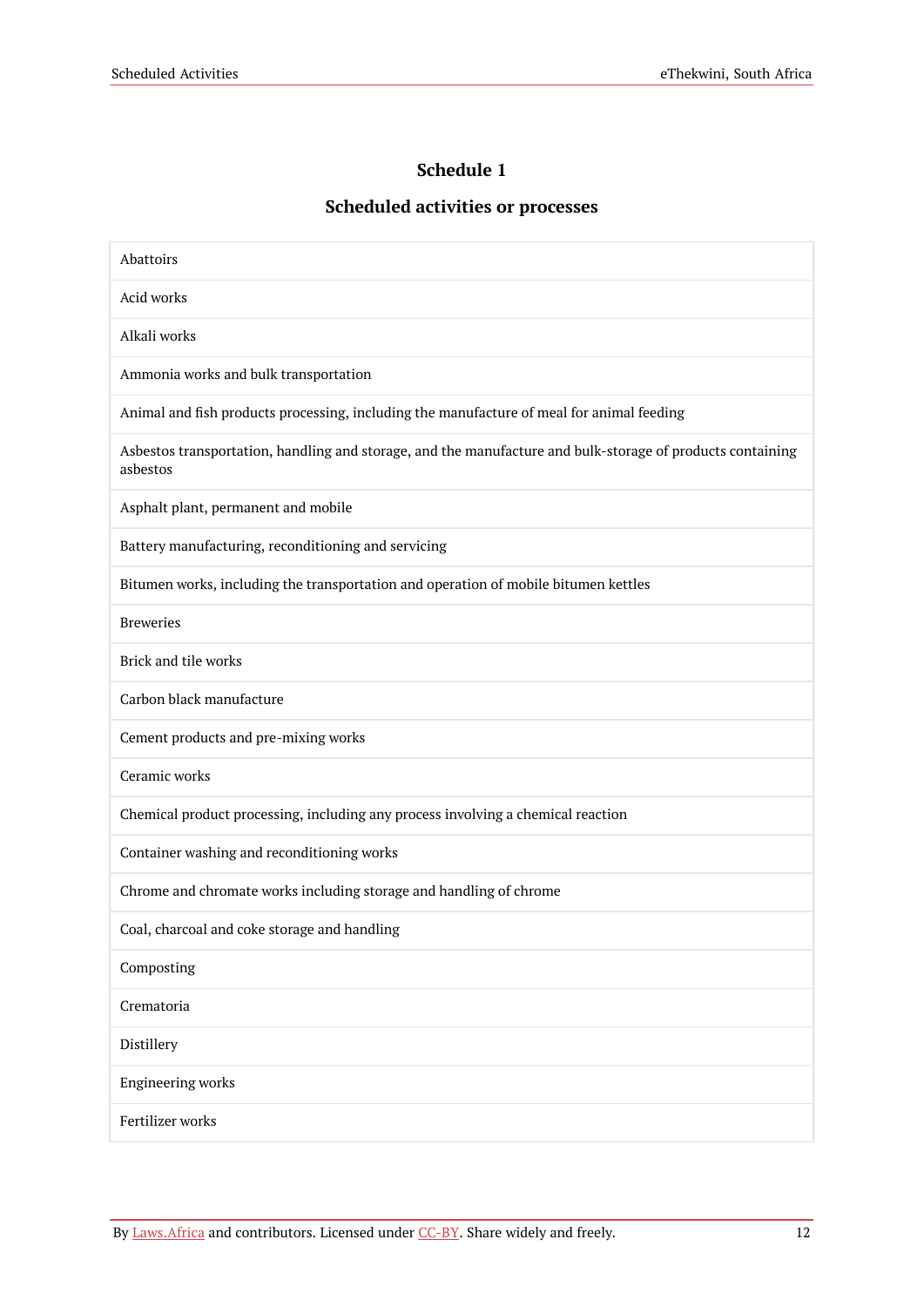### **Schedule 1**

### **Scheduled activities or processes**

<span id="page-13-0"></span>

| Abattoirs                                                                                                              |  |  |
|------------------------------------------------------------------------------------------------------------------------|--|--|
| Acid works                                                                                                             |  |  |
| Alkali works                                                                                                           |  |  |
| Ammonia works and bulk transportation                                                                                  |  |  |
| Animal and fish products processing, including the manufacture of meal for animal feeding                              |  |  |
| Asbestos transportation, handling and storage, and the manufacture and bulk-storage of products containing<br>asbestos |  |  |
| Asphalt plant, permanent and mobile                                                                                    |  |  |
| Battery manufacturing, reconditioning and servicing                                                                    |  |  |
| Bitumen works, including the transportation and operation of mobile bitumen kettles                                    |  |  |
| <b>Breweries</b>                                                                                                       |  |  |
| Brick and tile works                                                                                                   |  |  |
| Carbon black manufacture                                                                                               |  |  |
| Cement products and pre-mixing works                                                                                   |  |  |
| Ceramic works                                                                                                          |  |  |
| Chemical product processing, including any process involving a chemical reaction                                       |  |  |
| Container washing and reconditioning works                                                                             |  |  |
| Chrome and chromate works including storage and handling of chrome                                                     |  |  |
| Coal, charcoal and coke storage and handling                                                                           |  |  |
| Composting                                                                                                             |  |  |
| Crematoria                                                                                                             |  |  |
| Distillery                                                                                                             |  |  |
| <b>Engineering works</b>                                                                                               |  |  |
| Fertilizer works                                                                                                       |  |  |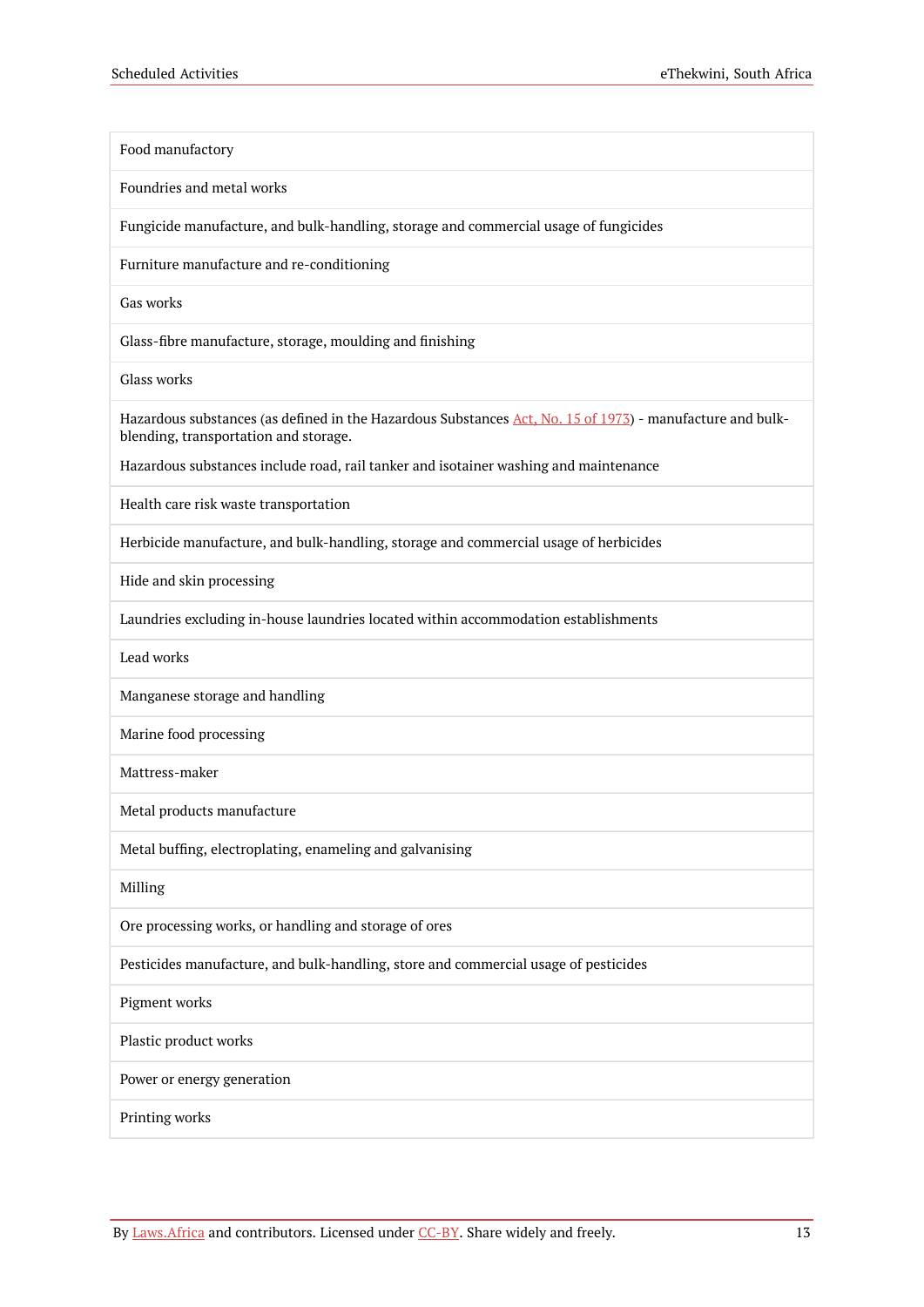| Food manufactory                                                                                                                                   |
|----------------------------------------------------------------------------------------------------------------------------------------------------|
| Foundries and metal works                                                                                                                          |
| Fungicide manufacture, and bulk-handling, storage and commercial usage of fungicides                                                               |
| Furniture manufacture and re-conditioning                                                                                                          |
| Gas works                                                                                                                                          |
| Glass-fibre manufacture, storage, moulding and finishing                                                                                           |
| Glass works                                                                                                                                        |
| Hazardous substances (as defined in the Hazardous Substances Act, No. 15 of 1973) - manufacture and bulk-<br>blending, transportation and storage. |
| Hazardous substances include road, rail tanker and isotainer washing and maintenance                                                               |
| Health care risk waste transportation                                                                                                              |
| Herbicide manufacture, and bulk-handling, storage and commercial usage of herbicides                                                               |
| Hide and skin processing                                                                                                                           |
| Laundries excluding in-house laundries located within accommodation establishments                                                                 |
| Lead works                                                                                                                                         |
| Manganese storage and handling                                                                                                                     |
| Marine food processing                                                                                                                             |
| Mattress-maker                                                                                                                                     |
| Metal products manufacture                                                                                                                         |
| Metal buffing, electroplating, enameling and galvanising                                                                                           |
| Milling                                                                                                                                            |
| Ore processing works, or handling and storage of ores                                                                                              |
| Pesticides manufacture, and bulk-handling, store and commercial usage of pesticides                                                                |
| Pigment works                                                                                                                                      |
| Plastic product works                                                                                                                              |
| Power or energy generation                                                                                                                         |
| Printing works                                                                                                                                     |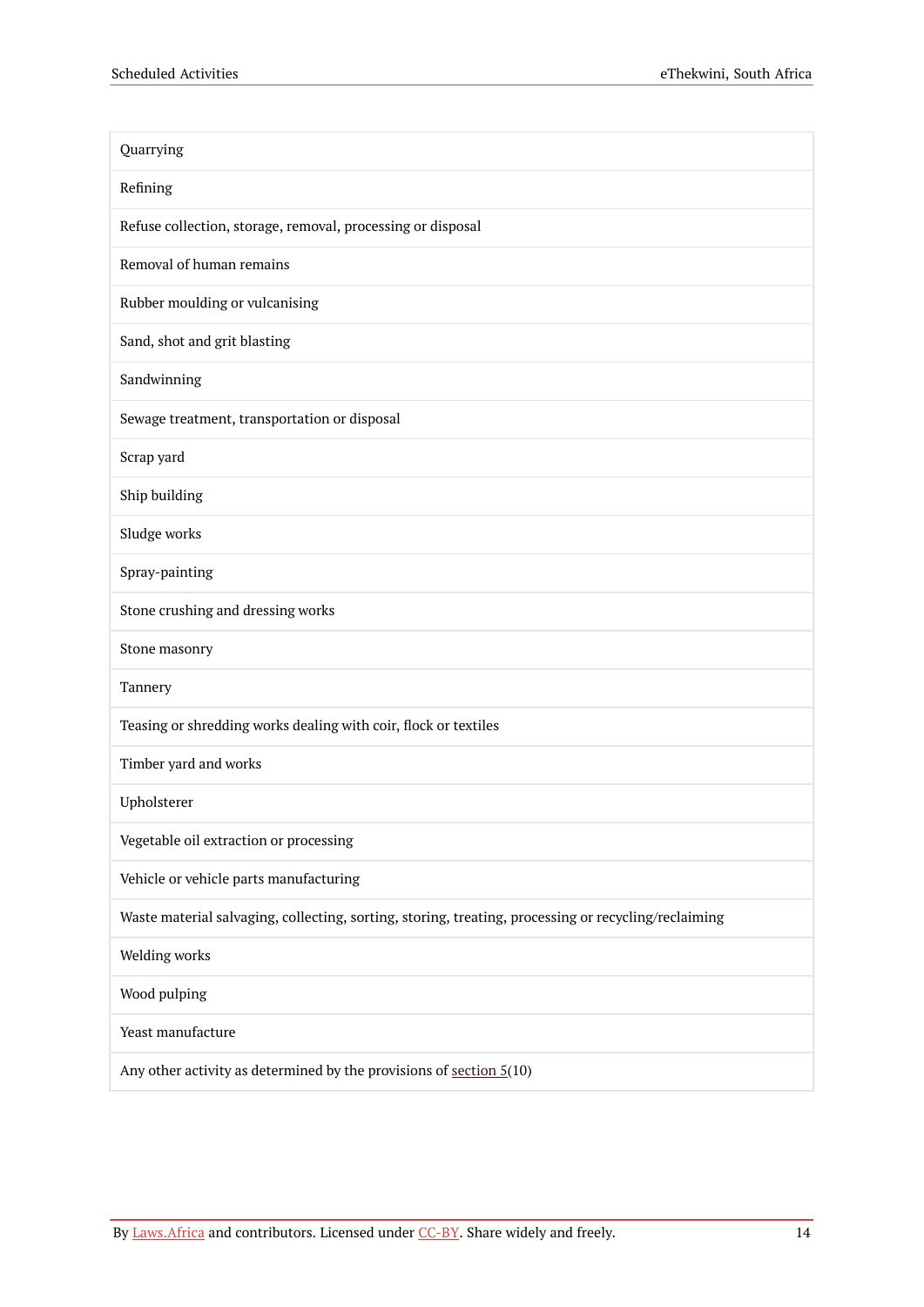| Quarrying                                                                                            |
|------------------------------------------------------------------------------------------------------|
| Refining                                                                                             |
| Refuse collection, storage, removal, processing or disposal                                          |
| Removal of human remains                                                                             |
| Rubber moulding or vulcanising                                                                       |
| Sand, shot and grit blasting                                                                         |
| Sandwinning                                                                                          |
| Sewage treatment, transportation or disposal                                                         |
| Scrap yard                                                                                           |
| Ship building                                                                                        |
| Sludge works                                                                                         |
| Spray-painting                                                                                       |
| Stone crushing and dressing works                                                                    |
| Stone masonry                                                                                        |
| Tannery                                                                                              |
| Teasing or shredding works dealing with coir, flock or textiles                                      |
| Timber yard and works                                                                                |
| Upholsterer                                                                                          |
| Vegetable oil extraction or processing                                                               |
| Vehicle or vehicle parts manufacturing                                                               |
| Waste material salvaging, collecting, sorting, storing, treating, processing or recycling/reclaiming |
| Welding works                                                                                        |
| Wood pulping                                                                                         |
| Yeast manufacture                                                                                    |
| Any other activity as determined by the provisions of section $5(10)$                                |